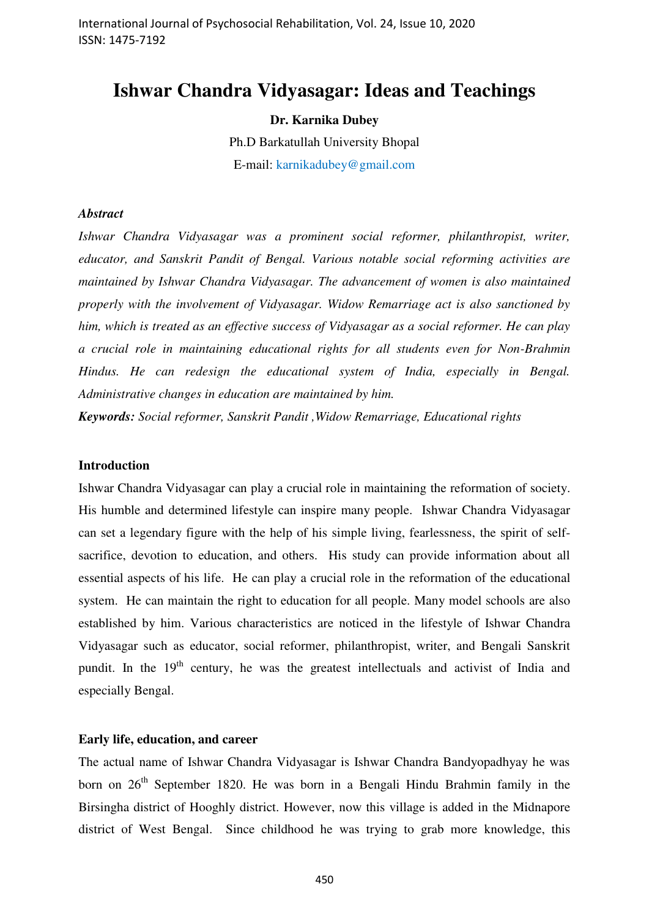# **Ishwar Chandra Vidyasagar: Ideas and Teachings**

# **Dr. Karnika Dubey**

Ph.D Barkatullah University Bhopal E-mail: karnikadubey@gmail.com

## *Abstract*

*Ishwar Chandra Vidyasagar was a prominent social reformer, philanthropist, writer, educator, and Sanskrit Pandit of Bengal. Various notable social reforming activities are maintained by Ishwar Chandra Vidyasagar. The advancement of women is also maintained properly with the involvement of Vidyasagar. Widow Remarriage act is also sanctioned by him, which is treated as an effective success of Vidyasagar as a social reformer. He can play a crucial role in maintaining educational rights for all students even for Non-Brahmin Hindus. He can redesign the educational system of India, especially in Bengal. Administrative changes in education are maintained by him.* 

*Keywords: Social reformer, Sanskrit Pandit ,Widow Remarriage, Educational rights*

#### **Introduction**

Ishwar Chandra Vidyasagar can play a crucial role in maintaining the reformation of society. His humble and determined lifestyle can inspire many people. Ishwar Chandra Vidyasagar can set a legendary figure with the help of his simple living, fearlessness, the spirit of selfsacrifice, devotion to education, and others. His study can provide information about all essential aspects of his life. He can play a crucial role in the reformation of the educational system. He can maintain the right to education for all people. Many model schools are also established by him. Various characteristics are noticed in the lifestyle of Ishwar Chandra Vidyasagar such as educator, social reformer, philanthropist, writer, and Bengali Sanskrit pundit. In the  $19<sup>th</sup>$  century, he was the greatest intellectuals and activist of India and especially Bengal.

# **Early life, education, and career**

The actual name of Ishwar Chandra Vidyasagar is Ishwar Chandra Bandyopadhyay he was born on  $26<sup>th</sup>$  September 1820. He was born in a Bengali Hindu Brahmin family in the Birsingha district of Hooghly district. However, now this village is added in the Midnapore district of West Bengal. Since childhood he was trying to grab more knowledge, this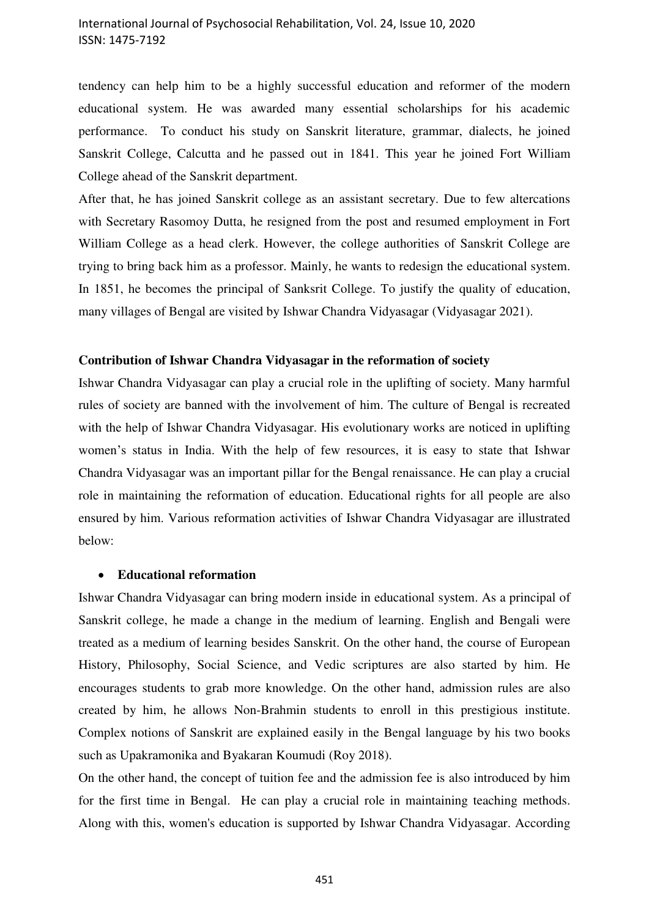tendency can help him to be a highly successful education and reformer of the modern educational system. He was awarded many essential scholarships for his academic performance. To conduct his study on Sanskrit literature, grammar, dialects, he joined Sanskrit College, Calcutta and he passed out in 1841. This year he joined Fort William College ahead of the Sanskrit department.

After that, he has joined Sanskrit college as an assistant secretary. Due to few altercations with Secretary Rasomoy Dutta, he resigned from the post and resumed employment in Fort William College as a head clerk. However, the college authorities of Sanskrit College are trying to bring back him as a professor. Mainly, he wants to redesign the educational system. In 1851, he becomes the principal of Sanksrit College. To justify the quality of education, many villages of Bengal are visited by Ishwar Chandra Vidyasagar (Vidyasagar 2021).

## **Contribution of Ishwar Chandra Vidyasagar in the reformation of society**

Ishwar Chandra Vidyasagar can play a crucial role in the uplifting of society. Many harmful rules of society are banned with the involvement of him. The culture of Bengal is recreated with the help of Ishwar Chandra Vidyasagar. His evolutionary works are noticed in uplifting women's status in India. With the help of few resources, it is easy to state that Ishwar Chandra Vidyasagar was an important pillar for the Bengal renaissance. He can play a crucial role in maintaining the reformation of education. Educational rights for all people are also ensured by him. Various reformation activities of Ishwar Chandra Vidyasagar are illustrated below:

#### **Educational reformation**

Ishwar Chandra Vidyasagar can bring modern inside in educational system. As a principal of Sanskrit college, he made a change in the medium of learning. English and Bengali were treated as a medium of learning besides Sanskrit. On the other hand, the course of European History, Philosophy, Social Science, and Vedic scriptures are also started by him. He encourages students to grab more knowledge. On the other hand, admission rules are also created by him, he allows Non-Brahmin students to enroll in this prestigious institute. Complex notions of Sanskrit are explained easily in the Bengal language by his two books such as Upakramonika and Byakaran Koumudi (Roy 2018).

On the other hand, the concept of tuition fee and the admission fee is also introduced by him for the first time in Bengal. He can play a crucial role in maintaining teaching methods. Along with this, women's education is supported by Ishwar Chandra Vidyasagar. According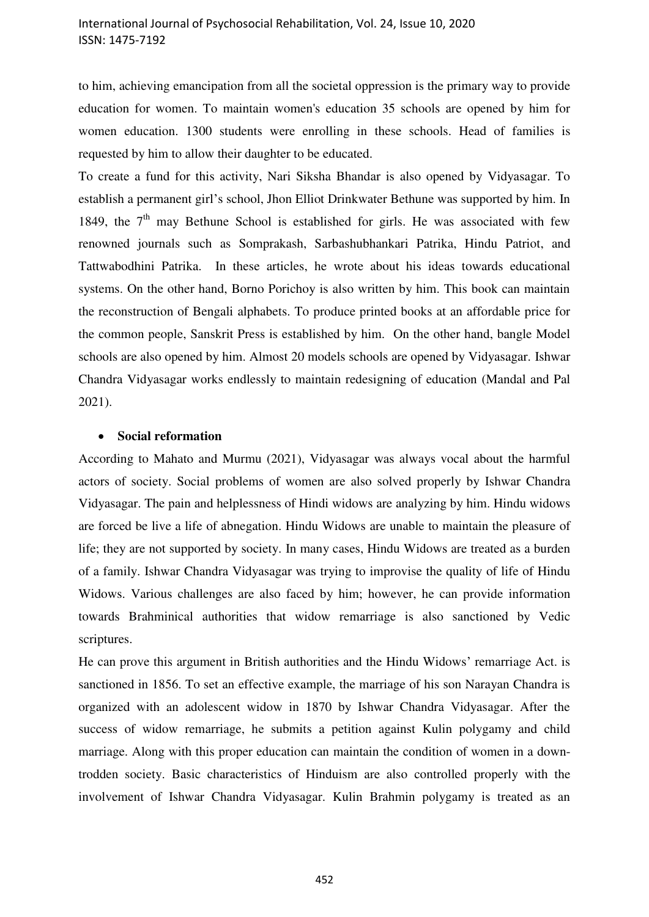to him, achieving emancipation from all the societal oppression is the primary way to provide education for women. To maintain women's education 35 schools are opened by him for women education. 1300 students were enrolling in these schools. Head of families is requested by him to allow their daughter to be educated.

To create a fund for this activity, Nari Siksha Bhandar is also opened by Vidyasagar. To establish a permanent girl's school, Jhon Elliot Drinkwater Bethune was supported by him. In 1849, the  $7<sup>th</sup>$  may Bethune School is established for girls. He was associated with few renowned journals such as Somprakash, Sarbashubhankari Patrika, Hindu Patriot, and Tattwabodhini Patrika. In these articles, he wrote about his ideas towards educational systems. On the other hand, Borno Porichoy is also written by him. This book can maintain the reconstruction of Bengali alphabets. To produce printed books at an affordable price for the common people, Sanskrit Press is established by him. On the other hand, bangle Model schools are also opened by him. Almost 20 models schools are opened by Vidyasagar. Ishwar Chandra Vidyasagar works endlessly to maintain redesigning of education (Mandal and Pal 2021).

## **Social reformation**

According to Mahato and Murmu (2021), Vidyasagar was always vocal about the harmful actors of society. Social problems of women are also solved properly by Ishwar Chandra Vidyasagar. The pain and helplessness of Hindi widows are analyzing by him. Hindu widows are forced be live a life of abnegation. Hindu Widows are unable to maintain the pleasure of life; they are not supported by society. In many cases, Hindu Widows are treated as a burden of a family. Ishwar Chandra Vidyasagar was trying to improvise the quality of life of Hindu Widows. Various challenges are also faced by him; however, he can provide information towards Brahminical authorities that widow remarriage is also sanctioned by Vedic scriptures.

He can prove this argument in British authorities and the Hindu Widows' remarriage Act. is sanctioned in 1856. To set an effective example, the marriage of his son Narayan Chandra is organized with an adolescent widow in 1870 by Ishwar Chandra Vidyasagar. After the success of widow remarriage, he submits a petition against Kulin polygamy and child marriage. Along with this proper education can maintain the condition of women in a downtrodden society. Basic characteristics of Hinduism are also controlled properly with the involvement of Ishwar Chandra Vidyasagar. Kulin Brahmin polygamy is treated as an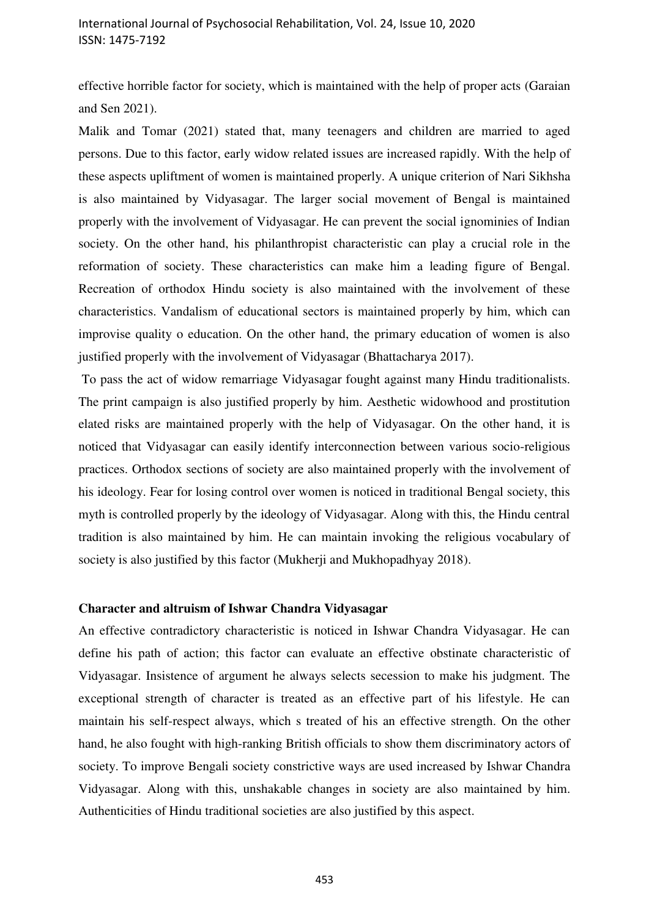effective horrible factor for society, which is maintained with the help of proper acts (Garaian and Sen 2021).

Malik and Tomar (2021) stated that, many teenagers and children are married to aged persons. Due to this factor, early widow related issues are increased rapidly. With the help of these aspects upliftment of women is maintained properly. A unique criterion of Nari Sikhsha is also maintained by Vidyasagar. The larger social movement of Bengal is maintained properly with the involvement of Vidyasagar. He can prevent the social ignominies of Indian society. On the other hand, his philanthropist characteristic can play a crucial role in the reformation of society. These characteristics can make him a leading figure of Bengal. Recreation of orthodox Hindu society is also maintained with the involvement of these characteristics. Vandalism of educational sectors is maintained properly by him, which can improvise quality o education. On the other hand, the primary education of women is also justified properly with the involvement of Vidyasagar (Bhattacharya 2017).

 To pass the act of widow remarriage Vidyasagar fought against many Hindu traditionalists. The print campaign is also justified properly by him. Aesthetic widowhood and prostitution elated risks are maintained properly with the help of Vidyasagar. On the other hand, it is noticed that Vidyasagar can easily identify interconnection between various socio-religious practices. Orthodox sections of society are also maintained properly with the involvement of his ideology. Fear for losing control over women is noticed in traditional Bengal society, this myth is controlled properly by the ideology of Vidyasagar. Along with this, the Hindu central tradition is also maintained by him. He can maintain invoking the religious vocabulary of society is also justified by this factor (Mukherji and Mukhopadhyay 2018).

#### **Character and altruism of Ishwar Chandra Vidyasagar**

An effective contradictory characteristic is noticed in Ishwar Chandra Vidyasagar. He can define his path of action; this factor can evaluate an effective obstinate characteristic of Vidyasagar. Insistence of argument he always selects secession to make his judgment. The exceptional strength of character is treated as an effective part of his lifestyle. He can maintain his self-respect always, which s treated of his an effective strength. On the other hand, he also fought with high-ranking British officials to show them discriminatory actors of society. To improve Bengali society constrictive ways are used increased by Ishwar Chandra Vidyasagar. Along with this, unshakable changes in society are also maintained by him. Authenticities of Hindu traditional societies are also justified by this aspect.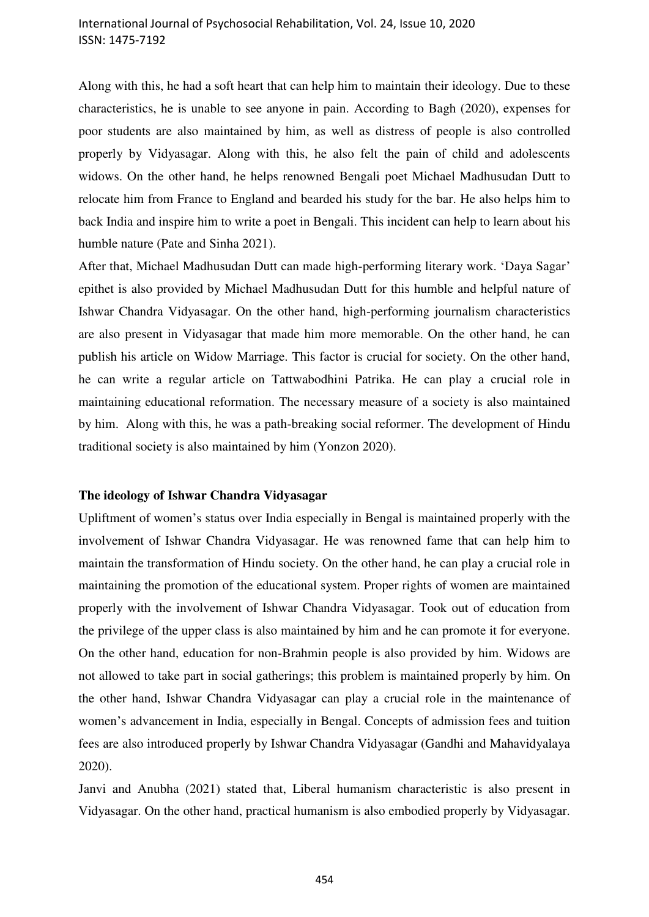# International Journal of Psychosocial Rehabilitation, Vol. 24, Issue 10, 2020 ISSN: 1475-7192

Along with this, he had a soft heart that can help him to maintain their ideology. Due to these characteristics, he is unable to see anyone in pain. According to Bagh (2020), expenses for poor students are also maintained by him, as well as distress of people is also controlled properly by Vidyasagar. Along with this, he also felt the pain of child and adolescents widows. On the other hand, he helps renowned Bengali poet Michael Madhusudan Dutt to relocate him from France to England and bearded his study for the bar. He also helps him to back India and inspire him to write a poet in Bengali. This incident can help to learn about his humble nature (Pate and Sinha 2021).

After that, Michael Madhusudan Dutt can made high-performing literary work. 'Daya Sagar' epithet is also provided by Michael Madhusudan Dutt for this humble and helpful nature of Ishwar Chandra Vidyasagar. On the other hand, high-performing journalism characteristics are also present in Vidyasagar that made him more memorable. On the other hand, he can publish his article on Widow Marriage. This factor is crucial for society. On the other hand, he can write a regular article on Tattwabodhini Patrika. He can play a crucial role in maintaining educational reformation. The necessary measure of a society is also maintained by him. Along with this, he was a path-breaking social reformer. The development of Hindu traditional society is also maintained by him (Yonzon 2020).

# **The ideology of Ishwar Chandra Vidyasagar**

Upliftment of women's status over India especially in Bengal is maintained properly with the involvement of Ishwar Chandra Vidyasagar. He was renowned fame that can help him to maintain the transformation of Hindu society. On the other hand, he can play a crucial role in maintaining the promotion of the educational system. Proper rights of women are maintained properly with the involvement of Ishwar Chandra Vidyasagar. Took out of education from the privilege of the upper class is also maintained by him and he can promote it for everyone. On the other hand, education for non-Brahmin people is also provided by him. Widows are not allowed to take part in social gatherings; this problem is maintained properly by him. On the other hand, Ishwar Chandra Vidyasagar can play a crucial role in the maintenance of women's advancement in India, especially in Bengal. Concepts of admission fees and tuition fees are also introduced properly by Ishwar Chandra Vidyasagar (Gandhi and Mahavidyalaya 2020).

Janvi and Anubha (2021) stated that, Liberal humanism characteristic is also present in Vidyasagar. On the other hand, practical humanism is also embodied properly by Vidyasagar.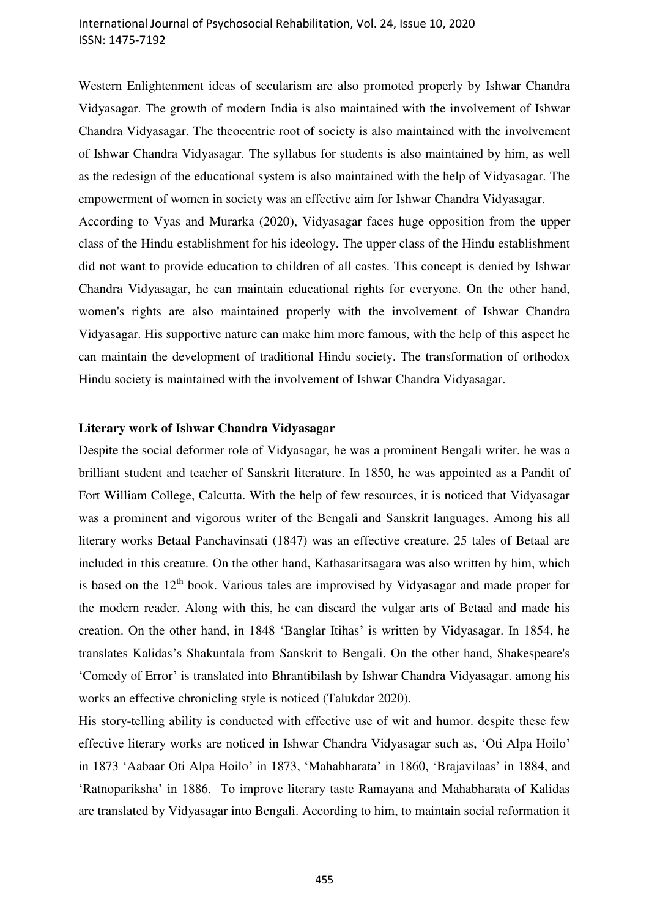# International Journal of Psychosocial Rehabilitation, Vol. 24, Issue 10, 2020 ISSN: 1475-7192

Western Enlightenment ideas of secularism are also promoted properly by Ishwar Chandra Vidyasagar. The growth of modern India is also maintained with the involvement of Ishwar Chandra Vidyasagar. The theocentric root of society is also maintained with the involvement of Ishwar Chandra Vidyasagar. The syllabus for students is also maintained by him, as well as the redesign of the educational system is also maintained with the help of Vidyasagar. The empowerment of women in society was an effective aim for Ishwar Chandra Vidyasagar. According to Vyas and Murarka (2020), Vidyasagar faces huge opposition from the upper class of the Hindu establishment for his ideology. The upper class of the Hindu establishment

did not want to provide education to children of all castes. This concept is denied by Ishwar Chandra Vidyasagar, he can maintain educational rights for everyone. On the other hand, women's rights are also maintained properly with the involvement of Ishwar Chandra Vidyasagar. His supportive nature can make him more famous, with the help of this aspect he can maintain the development of traditional Hindu society. The transformation of orthodox Hindu society is maintained with the involvement of Ishwar Chandra Vidyasagar.

## **Literary work of Ishwar Chandra Vidyasagar**

Despite the social deformer role of Vidyasagar, he was a prominent Bengali writer. he was a brilliant student and teacher of Sanskrit literature. In 1850, he was appointed as a Pandit of Fort William College, Calcutta. With the help of few resources, it is noticed that Vidyasagar was a prominent and vigorous writer of the Bengali and Sanskrit languages. Among his all literary works Betaal Panchavinsati (1847) was an effective creature. 25 tales of Betaal are included in this creature. On the other hand, Kathasaritsagara was also written by him, which is based on the  $12<sup>th</sup>$  book. Various tales are improvised by Vidyasagar and made proper for the modern reader. Along with this, he can discard the vulgar arts of Betaal and made his creation. On the other hand, in 1848 'Banglar Itihas' is written by Vidyasagar. In 1854, he translates Kalidas's Shakuntala from Sanskrit to Bengali. On the other hand, Shakespeare's 'Comedy of Error' is translated into Bhrantibilash by Ishwar Chandra Vidyasagar. among his works an effective chronicling style is noticed (Talukdar 2020).

His story-telling ability is conducted with effective use of wit and humor. despite these few effective literary works are noticed in Ishwar Chandra Vidyasagar such as, 'Oti Alpa Hoilo' in 1873 'Aabaar Oti Alpa Hoilo' in 1873, 'Mahabharata' in 1860, 'Brajavilaas' in 1884, and 'Ratnopariksha' in 1886. To improve literary taste Ramayana and Mahabharata of Kalidas are translated by Vidyasagar into Bengali. According to him, to maintain social reformation it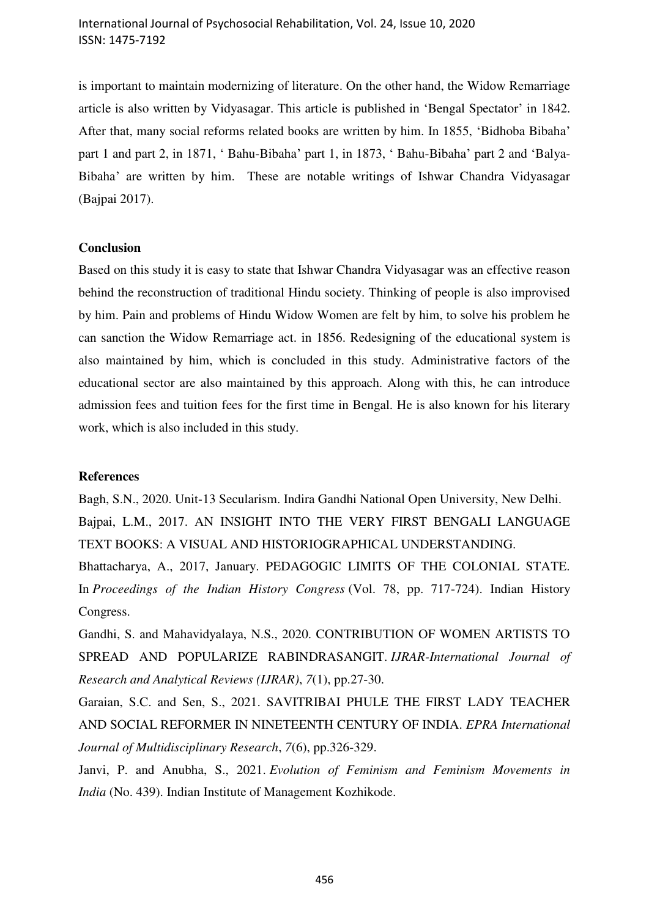is important to maintain modernizing of literature. On the other hand, the Widow Remarriage article is also written by Vidyasagar. This article is published in 'Bengal Spectator' in 1842. After that, many social reforms related books are written by him. In 1855, 'Bidhoba Bibaha' part 1 and part 2, in 1871, ' Bahu-Bibaha' part 1, in 1873, ' Bahu-Bibaha' part 2 and 'Balya-Bibaha' are written by him. These are notable writings of Ishwar Chandra Vidyasagar (Bajpai 2017).

## **Conclusion**

Based on this study it is easy to state that Ishwar Chandra Vidyasagar was an effective reason behind the reconstruction of traditional Hindu society. Thinking of people is also improvised by him. Pain and problems of Hindu Widow Women are felt by him, to solve his problem he can sanction the Widow Remarriage act. in 1856. Redesigning of the educational system is also maintained by him, which is concluded in this study. Administrative factors of the educational sector are also maintained by this approach. Along with this, he can introduce admission fees and tuition fees for the first time in Bengal. He is also known for his literary work, which is also included in this study.

#### **References**

Bagh, S.N., 2020. Unit-13 Secularism. Indira Gandhi National Open University, New Delhi. Bajpai, L.M., 2017. AN INSIGHT INTO THE VERY FIRST BENGALI LANGUAGE TEXT BOOKS: A VISUAL AND HISTORIOGRAPHICAL UNDERSTANDING.

Bhattacharya, A., 2017, January. PEDAGOGIC LIMITS OF THE COLONIAL STATE. In *Proceedings of the Indian History Congress* (Vol. 78, pp. 717-724). Indian History Congress.

Gandhi, S. and Mahavidyalaya, N.S., 2020. CONTRIBUTION OF WOMEN ARTISTS TO SPREAD AND POPULARIZE RABINDRASANGIT. *IJRAR-International Journal of Research and Analytical Reviews (IJRAR)*, *7*(1), pp.27-30.

Garaian, S.C. and Sen, S., 2021. SAVITRIBAI PHULE THE FIRST LADY TEACHER AND SOCIAL REFORMER IN NINETEENTH CENTURY OF INDIA. *EPRA International Journal of Multidisciplinary Research*, *7*(6), pp.326-329.

Janvi, P. and Anubha, S., 2021. *Evolution of Feminism and Feminism Movements in India* (No. 439). Indian Institute of Management Kozhikode.